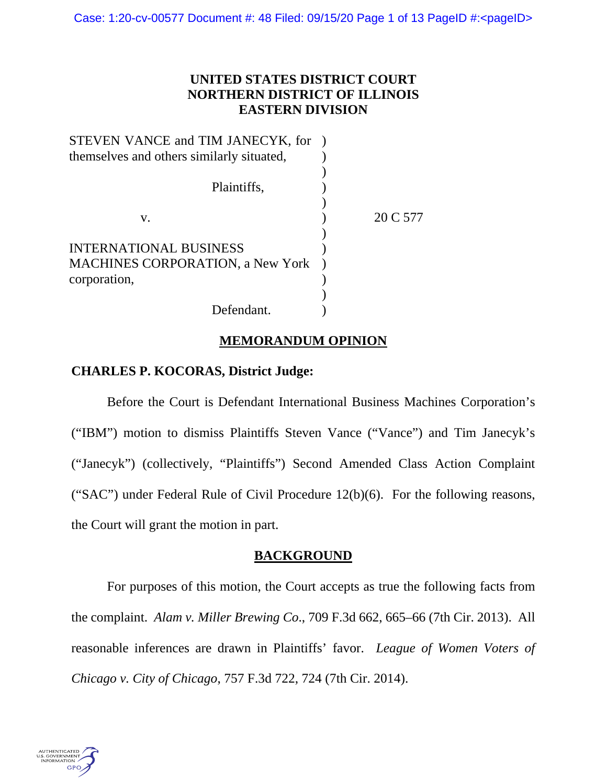# **UNITED STATES DISTRICT COURT NORTHERN DISTRICT OF ILLINOIS EASTERN DIVISION**

| STEVEN VANCE and TIM JANECYK, for         |          |
|-------------------------------------------|----------|
| themselves and others similarly situated, |          |
|                                           |          |
| Plaintiffs,                               |          |
|                                           |          |
| V.                                        | 20 C 577 |
|                                           |          |
| <b>INTERNATIONAL BUSINESS</b>             |          |
| <b>MACHINES CORPORATION, a New York</b>   |          |
| corporation,                              |          |
|                                           |          |
| Defendant.                                |          |

## **MEMORANDUM OPINION**

# **CHARLES P. KOCORAS, District Judge:**

Before the Court is Defendant International Business Machines Corporation's ("IBM") motion to dismiss Plaintiffs Steven Vance ("Vance") and Tim Janecyk's ("Janecyk") (collectively, "Plaintiffs") Second Amended Class Action Complaint ("SAC") under Federal Rule of Civil Procedure  $12(b)(6)$ . For the following reasons, the Court will grant the motion in part.

## **BACKGROUND**

For purposes of this motion, the Court accepts as true the following facts from the complaint. *Alam v. Miller Brewing Co*., 709 F.3d 662, 665–66 (7th Cir. 2013). All reasonable inferences are drawn in Plaintiffs' favor. *League of Women Voters of Chicago v. City of Chicago*, 757 F.3d 722, 724 (7th Cir. 2014).

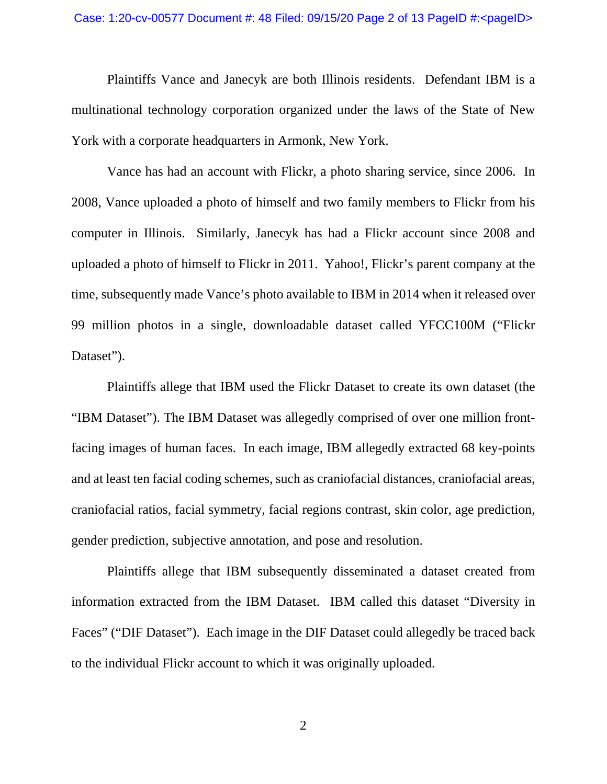Plaintiffs Vance and Janecyk are both Illinois residents. Defendant IBM is a multinational technology corporation organized under the laws of the State of New York with a corporate headquarters in Armonk, New York.

Vance has had an account with Flickr, a photo sharing service, since 2006. In 2008, Vance uploaded a photo of himself and two family members to Flickr from his computer in Illinois. Similarly, Janecyk has had a Flickr account since 2008 and uploaded a photo of himself to Flickr in 2011. Yahoo!, Flickr's parent company at the time, subsequently made Vance's photo available to IBM in 2014 when it released over 99 million photos in a single, downloadable dataset called YFCC100M ("Flickr Dataset").

Plaintiffs allege that IBM used the Flickr Dataset to create its own dataset (the "IBM Dataset"). The IBM Dataset was allegedly comprised of over one million frontfacing images of human faces. In each image, IBM allegedly extracted 68 key-points and at least ten facial coding schemes, such as craniofacial distances, craniofacial areas, craniofacial ratios, facial symmetry, facial regions contrast, skin color, age prediction, gender prediction, subjective annotation, and pose and resolution.

Plaintiffs allege that IBM subsequently disseminated a dataset created from information extracted from the IBM Dataset. IBM called this dataset "Diversity in Faces" ("DIF Dataset"). Each image in the DIF Dataset could allegedly be traced back to the individual Flickr account to which it was originally uploaded.

2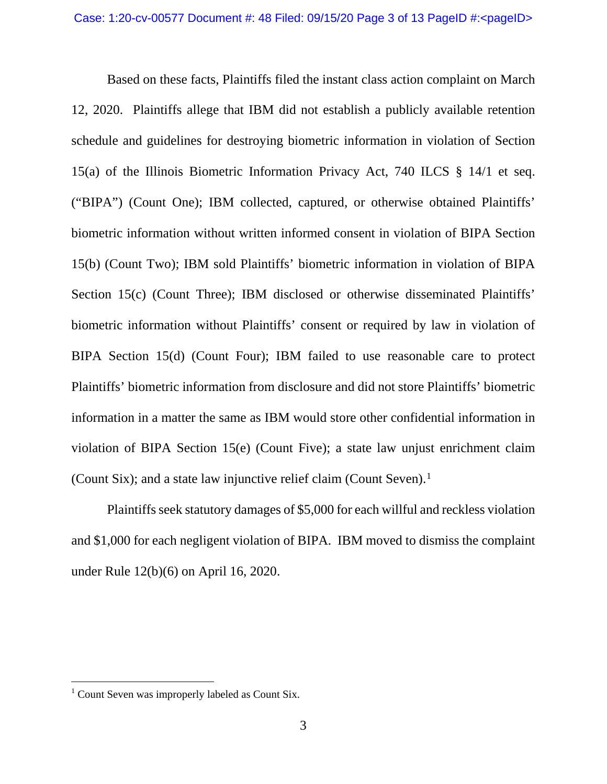Based on these facts, Plaintiffs filed the instant class action complaint on March 12, 2020. Plaintiffs allege that IBM did not establish a publicly available retention schedule and guidelines for destroying biometric information in violation of Section 15(a) of the Illinois Biometric Information Privacy Act, 740 ILCS § 14/1 et seq. ("BIPA") (Count One); IBM collected, captured, or otherwise obtained Plaintiffs' biometric information without written informed consent in violation of BIPA Section 15(b) (Count Two); IBM sold Plaintiffs' biometric information in violation of BIPA Section 15(c) (Count Three); IBM disclosed or otherwise disseminated Plaintiffs' biometric information without Plaintiffs' consent or required by law in violation of BIPA Section 15(d) (Count Four); IBM failed to use reasonable care to protect Plaintiffs' biometric information from disclosure and did not store Plaintiffs' biometric information in a matter the same as IBM would store other confidential information in violation of BIPA Section 15(e) (Count Five); a state law unjust enrichment claim (Count Six); and a state law injunctive relief claim (Count Seven).<sup>[1](#page-2-0)</sup>

Plaintiffs seek statutory damages of \$5,000 for each willful and reckless violation and \$1,000 for each negligent violation of BIPA. IBM moved to dismiss the complaint under Rule 12(b)(6) on April 16, 2020.

<span id="page-2-0"></span><sup>&</sup>lt;sup>1</sup> Count Seven was improperly labeled as Count Six.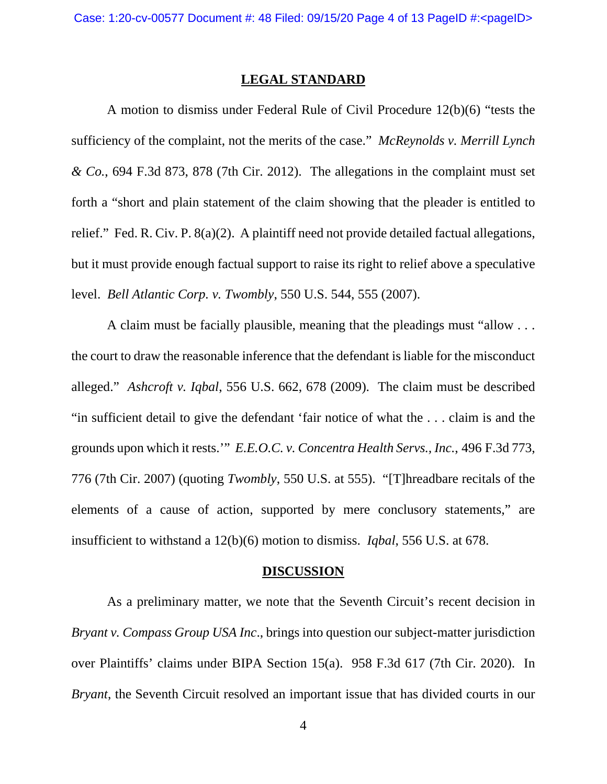### **LEGAL STANDARD**

A motion to dismiss under Federal Rule of Civil Procedure 12(b)(6) "tests the sufficiency of the complaint, not the merits of the case." *McReynolds v. Merrill Lynch & Co.*, 694 F.3d 873, 878 (7th Cir. 2012). The allegations in the complaint must set forth a "short and plain statement of the claim showing that the pleader is entitled to relief." Fed. R. Civ. P. 8(a)(2). A plaintiff need not provide detailed factual allegations, but it must provide enough factual support to raise its right to relief above a speculative level. *Bell Atlantic Corp. v. Twombly*, 550 U.S. 544, 555 (2007).

A claim must be facially plausible, meaning that the pleadings must "allow . . . the court to draw the reasonable inference that the defendant is liable for the misconduct alleged." *Ashcroft v. Iqbal*, 556 U.S. 662, 678 (2009). The claim must be described "in sufficient detail to give the defendant 'fair notice of what the . . . claim is and the grounds upon which it rests.'" *E.E.O.C. v. Concentra Health Servs., Inc.*, 496 F.3d 773, 776 (7th Cir. 2007) (quoting *Twombly*, 550 U.S. at 555). "[T]hreadbare recitals of the elements of a cause of action, supported by mere conclusory statements," are insufficient to withstand a 12(b)(6) motion to dismiss. *Iqbal*, 556 U.S. at 678.

#### **DISCUSSION**

As a preliminary matter, we note that the Seventh Circuit's recent decision in *Bryant v. Compass Group USA Inc*., brings into question our subject-matter jurisdiction over Plaintiffs' claims under BIPA Section 15(a). 958 F.3d 617 (7th Cir. 2020). In *Bryant*, the Seventh Circuit resolved an important issue that has divided courts in our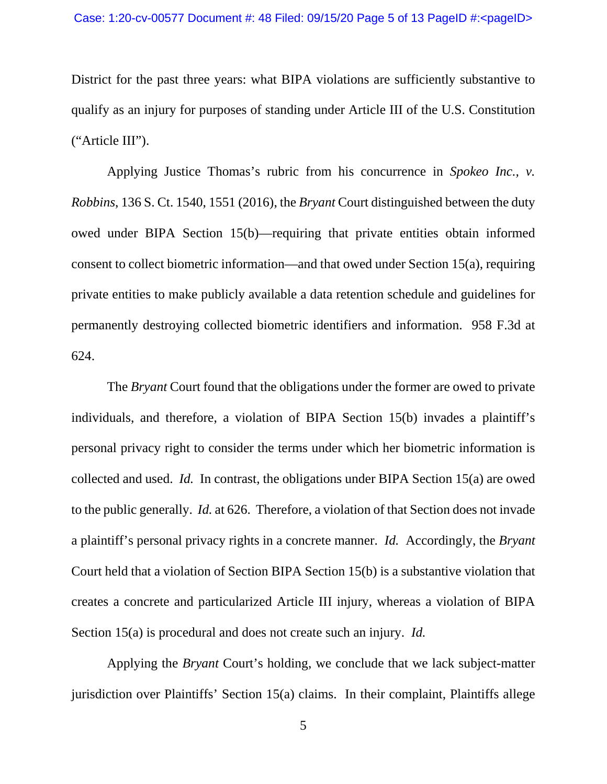#### Case: 1:20-cv-00577 Document #: 48 Filed: 09/15/20 Page 5 of 13 PageID #:<pageID>

District for the past three years: what BIPA violations are sufficiently substantive to qualify as an injury for purposes of standing under Article III of the U.S. Constitution ("Article III").

Applying Justice Thomas's rubric from his concurrence in *Spokeo Inc., v. Robbins*, 136 S. Ct. 1540, 1551 (2016), the *Bryant* Court distinguished between the duty owed under BIPA Section 15(b)—requiring that private entities obtain informed consent to collect biometric information—and that owed under Section 15(a), requiring private entities to make publicly available a data retention schedule and guidelines for permanently destroying collected biometric identifiers and information. 958 F.3d at 624.

The *Bryant* Court found that the obligations under the former are owed to private individuals, and therefore, a violation of BIPA Section 15(b) invades a plaintiff's personal privacy right to consider the terms under which her biometric information is collected and used. *Id.* In contrast, the obligations under BIPA Section 15(a) are owed to the public generally. *Id.* at 626. Therefore, a violation of that Section does not invade a plaintiff's personal privacy rights in a concrete manner. *Id.* Accordingly, the *Bryant*  Court held that a violation of Section BIPA Section 15(b) is a substantive violation that creates a concrete and particularized Article III injury, whereas a violation of BIPA Section 15(a) is procedural and does not create such an injury. *Id.*

Applying the *Bryant* Court's holding, we conclude that we lack subject-matter jurisdiction over Plaintiffs' Section 15(a) claims. In their complaint, Plaintiffs allege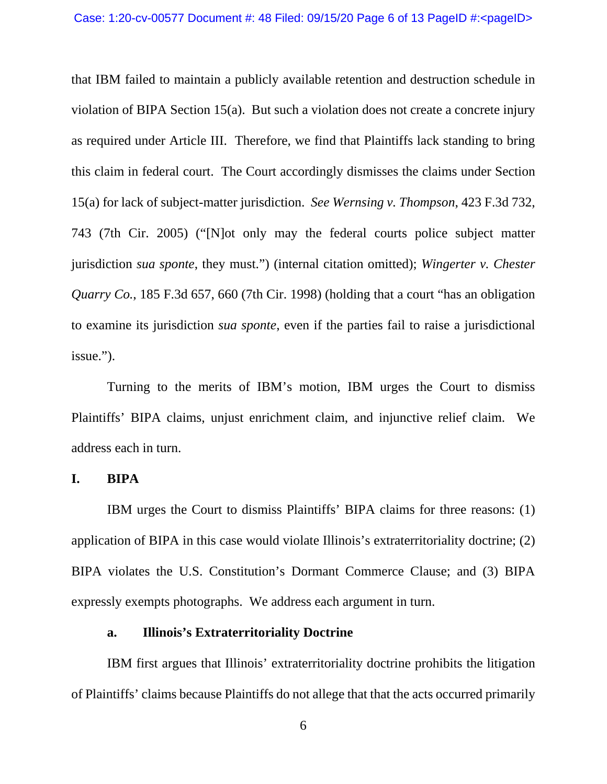that IBM failed to maintain a publicly available retention and destruction schedule in violation of BIPA Section 15(a). But such a violation does not create a concrete injury as required under Article III. Therefore, we find that Plaintiffs lack standing to bring this claim in federal court. The Court accordingly dismisses the claims under Section 15(a) for lack of subject-matter jurisdiction. *See Wernsing v. Thompson*, 423 F.3d 732, 743 (7th Cir. 2005) ("[N]ot only may the federal courts police subject matter jurisdiction *sua sponte*, they must.") (internal citation omitted); *Wingerter v. Chester Quarry Co.*, 185 F.3d 657, 660 (7th Cir. 1998) (holding that a court "has an obligation" to examine its jurisdiction *sua sponte*, even if the parties fail to raise a jurisdictional issue.").

Turning to the merits of IBM's motion, IBM urges the Court to dismiss Plaintiffs' BIPA claims, unjust enrichment claim, and injunctive relief claim. We address each in turn.

#### **I. BIPA**

IBM urges the Court to dismiss Plaintiffs' BIPA claims for three reasons: (1) application of BIPA in this case would violate Illinois's extraterritoriality doctrine; (2) BIPA violates the U.S. Constitution's Dormant Commerce Clause; and (3) BIPA expressly exempts photographs. We address each argument in turn.

### **a. Illinois's Extraterritoriality Doctrine**

IBM first argues that Illinois' extraterritoriality doctrine prohibits the litigation of Plaintiffs' claims because Plaintiffs do not allege that that the acts occurred primarily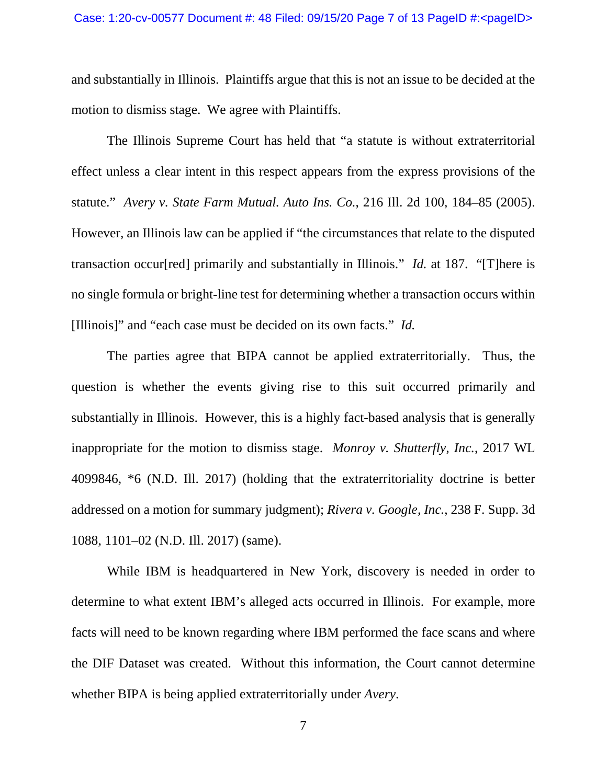and substantially in Illinois. Plaintiffs argue that this is not an issue to be decided at the motion to dismiss stage. We agree with Plaintiffs.

The Illinois Supreme Court has held that "a statute is without extraterritorial effect unless a clear intent in this respect appears from the express provisions of the statute." *Avery v. State Farm Mutual. Auto Ins. Co.*, 216 Ill. 2d 100, 184–85 (2005). However, an Illinois law can be applied if "the circumstances that relate to the disputed transaction occur[red] primarily and substantially in Illinois." *Id.* at 187. "[T]here is no single formula or bright-line test for determining whether a transaction occurs within [Illinois]" and "each case must be decided on its own facts." *Id.*

The parties agree that BIPA cannot be applied extraterritorially. Thus, the question is whether the events giving rise to this suit occurred primarily and substantially in Illinois. However, this is a highly fact-based analysis that is generally inappropriate for the motion to dismiss stage. *Monroy v. Shutterfly, Inc.*, 2017 WL 4099846, \*6 (N.D. Ill. 2017) (holding that the extraterritoriality doctrine is better addressed on a motion for summary judgment); *Rivera v. Google, Inc.*, 238 F. Supp. 3d 1088, 1101–02 (N.D. Ill. 2017) (same).

While IBM is headquartered in New York, discovery is needed in order to determine to what extent IBM's alleged acts occurred in Illinois. For example, more facts will need to be known regarding where IBM performed the face scans and where the DIF Dataset was created. Without this information, the Court cannot determine whether BIPA is being applied extraterritorially under *Avery*.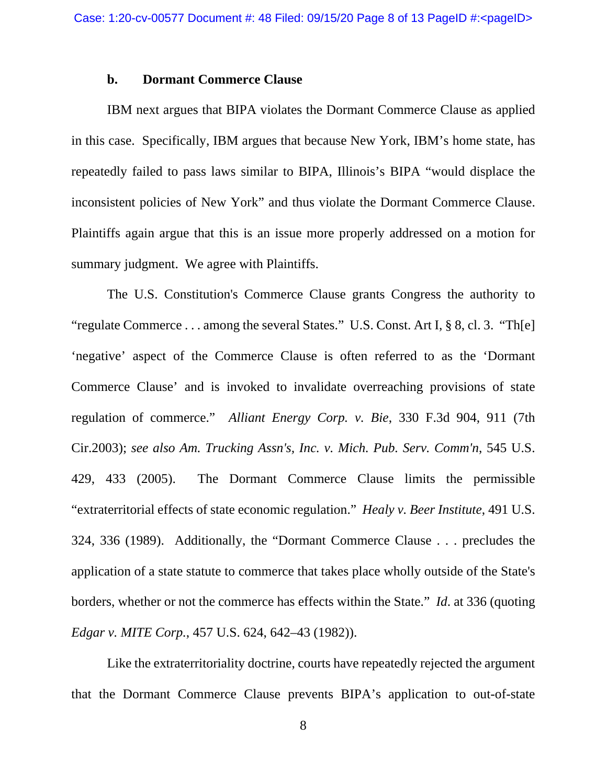#### **b. Dormant Commerce Clause**

IBM next argues that BIPA violates the Dormant Commerce Clause as applied in this case. Specifically, IBM argues that because New York, IBM's home state, has repeatedly failed to pass laws similar to BIPA, Illinois's BIPA "would displace the inconsistent policies of New York" and thus violate the Dormant Commerce Clause. Plaintiffs again argue that this is an issue more properly addressed on a motion for summary judgment. We agree with Plaintiffs.

The U.S. Constitution's Commerce Clause grants Congress the authority to "regulate Commerce . . . among the several States." U.S. Const. Art I, § 8, cl. 3. "Th[e] 'negative' aspect of the Commerce Clause is often referred to as the 'Dormant Commerce Clause' and is invoked to invalidate overreaching provisions of state regulation of commerce." *Alliant Energy Corp. v. Bie*, 330 F.3d 904, 911 (7th Cir.2003); *see also Am. Trucking Assn's, Inc. v. Mich. Pub. Serv. Comm'n*, 545 U.S. 429, 433 (2005). The Dormant Commerce Clause limits the permissible "extraterritorial effects of state economic regulation." *Healy v. Beer Institute*, 491 U.S. 324, 336 (1989). Additionally, the "Dormant Commerce Clause . . . precludes the application of a state statute to commerce that takes place wholly outside of the State's borders, whether or not the commerce has effects within the State." *Id*. at 336 (quoting *Edgar v. MITE Corp.*, 457 U.S. 624, 642–43 (1982)).

Like the extraterritoriality doctrine, courts have repeatedly rejected the argument that the Dormant Commerce Clause prevents BIPA's application to out-of-state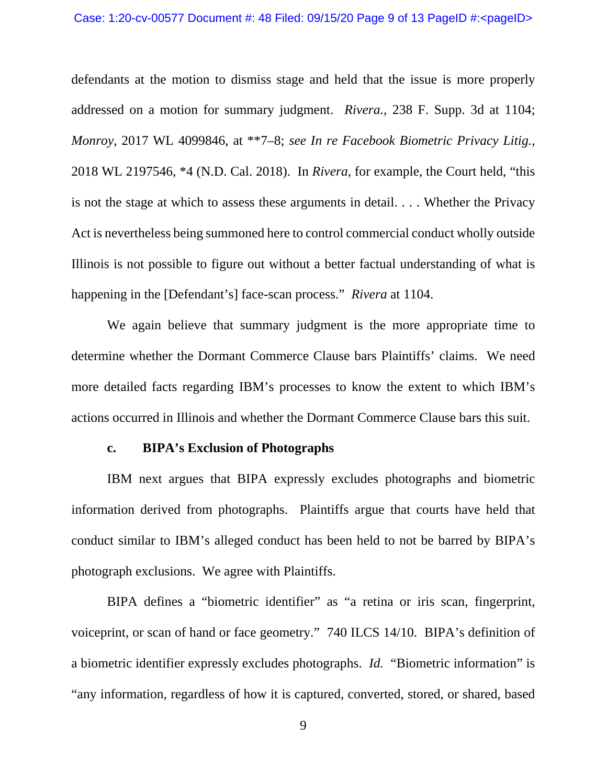#### Case: 1:20-cv-00577 Document #: 48 Filed: 09/15/20 Page 9 of 13 PageID #:<pageID>

defendants at the motion to dismiss stage and held that the issue is more properly addressed on a motion for summary judgment. *Rivera.*, 238 F. Supp. 3d at 1104; *Monroy*, 2017 WL 4099846, at \*\*7–8; *see In re Facebook Biometric Privacy Litig.*, 2018 WL 2197546, \*4 (N.D. Cal. 2018). In *Rivera*, for example, the Court held, "this is not the stage at which to assess these arguments in detail. . . . Whether the Privacy Act is nevertheless being summoned here to control commercial conduct wholly outside Illinois is not possible to figure out without a better factual understanding of what is happening in the [Defendant's] face-scan process." *Rivera* at 1104.

We again believe that summary judgment is the more appropriate time to determine whether the Dormant Commerce Clause bars Plaintiffs' claims. We need more detailed facts regarding IBM's processes to know the extent to which IBM's actions occurred in Illinois and whether the Dormant Commerce Clause bars this suit.

### **c. BIPA's Exclusion of Photographs**

IBM next argues that BIPA expressly excludes photographs and biometric information derived from photographs. Plaintiffs argue that courts have held that conduct similar to IBM's alleged conduct has been held to not be barred by BIPA's photograph exclusions. We agree with Plaintiffs.

BIPA defines a "biometric identifier" as "a retina or iris scan, fingerprint, voiceprint, or scan of hand or face geometry." 740 ILCS 14/10. BIPA's definition of a biometric identifier expressly excludes photographs. *Id.* "Biometric information" is "any information, regardless of how it is captured, converted, stored, or shared, based

9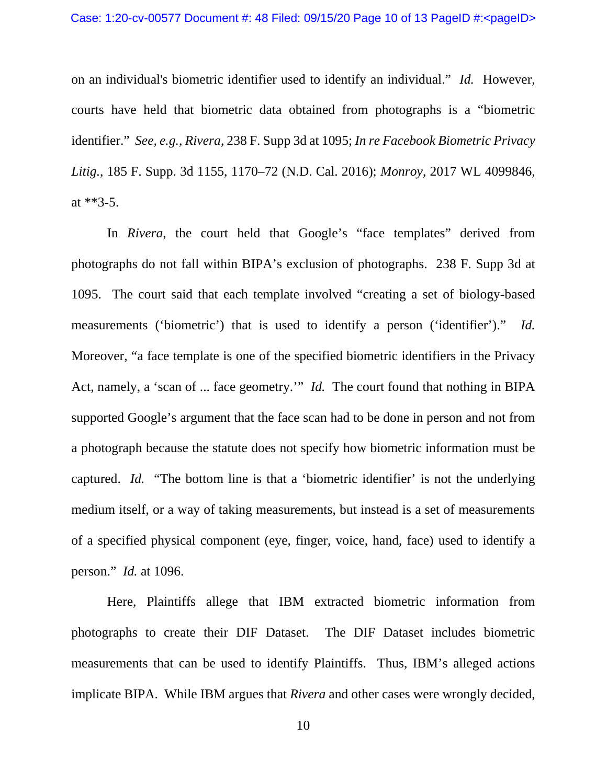on an individual's biometric identifier used to identify an individual." *Id.* However, courts have held that biometric data obtained from photographs is a "biometric identifier." *See, e.g.*, *Rivera*, 238 F. Supp 3d at 1095; *In re Facebook Biometric Privacy Litig.*, 185 F. Supp. 3d 1155, 1170–72 (N.D. Cal. 2016); *Monroy*, 2017 WL 4099846, at \*\*3-5.

In *Rivera*, the court held that Google's "face templates" derived from photographs do not fall within BIPA's exclusion of photographs. 238 F. Supp 3d at 1095. The court said that each template involved "creating a set of biology-based measurements ('biometric') that is used to identify a person ('identifier')." *Id.*  Moreover, "a face template is one of the specified biometric identifiers in the Privacy Act, namely, a 'scan of ... face geometry.'" *Id.* The court found that nothing in BIPA supported Google's argument that the face scan had to be done in person and not from a photograph because the statute does not specify how biometric information must be captured. *Id.* "The bottom line is that a 'biometric identifier' is not the underlying medium itself, or a way of taking measurements, but instead is a set of measurements of a specified physical component (eye, finger, voice, hand, face) used to identify a person." *Id.* at 1096.

Here, Plaintiffs allege that IBM extracted biometric information from photographs to create their DIF Dataset. The DIF Dataset includes biometric measurements that can be used to identify Plaintiffs. Thus, IBM's alleged actions implicate BIPA. While IBM argues that *Rivera* and other cases were wrongly decided,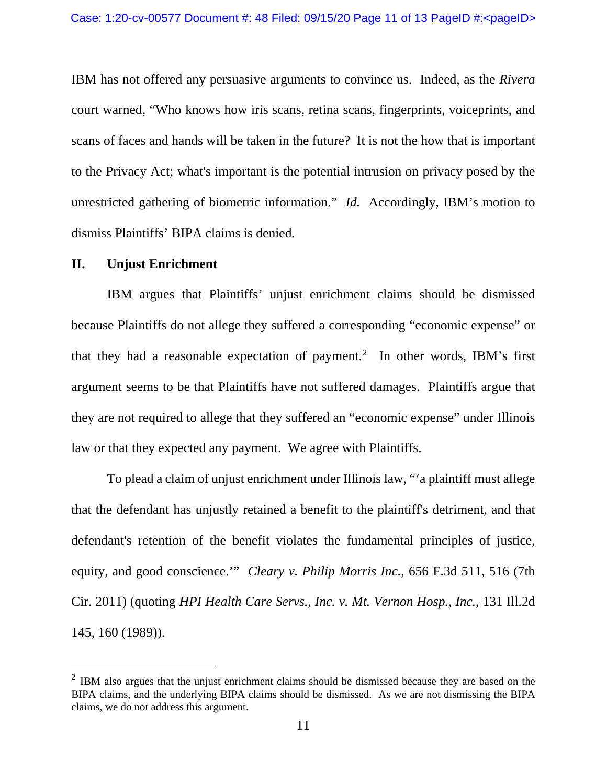IBM has not offered any persuasive arguments to convince us. Indeed, as the *Rivera*  court warned, "Who knows how iris scans, retina scans, fingerprints, voiceprints, and scans of faces and hands will be taken in the future? It is not the how that is important to the Privacy Act; what's important is the potential intrusion on privacy posed by the unrestricted gathering of biometric information." *Id.* Accordingly, IBM's motion to dismiss Plaintiffs' BIPA claims is denied.

### **II. Unjust Enrichment**

IBM argues that Plaintiffs' unjust enrichment claims should be dismissed because Plaintiffs do not allege they suffered a corresponding "economic expense" or that they had a reasonable expectation of payment. [2](#page-10-0) In other words, IBM's first argument seems to be that Plaintiffs have not suffered damages. Plaintiffs argue that they are not required to allege that they suffered an "economic expense" under Illinois law or that they expected any payment. We agree with Plaintiffs.

To plead a claim of unjust enrichment under Illinois law, "'a plaintiff must allege that the defendant has unjustly retained a benefit to the plaintiff's detriment, and that defendant's retention of the benefit violates the fundamental principles of justice, equity, and good conscience.'" *Cleary v. Philip Morris Inc.*, 656 F.3d 511, 516 (7th Cir. 2011) (quoting *HPI Health Care Servs., Inc. v. Mt. Vernon Hosp., Inc.*, 131 Ill.2d 145, 160 (1989)).

<span id="page-10-0"></span><sup>&</sup>lt;sup>2</sup> IBM also argues that the unjust enrichment claims should be dismissed because they are based on the BIPA claims, and the underlying BIPA claims should be dismissed. As we are not dismissing the BIPA claims, we do not address this argument.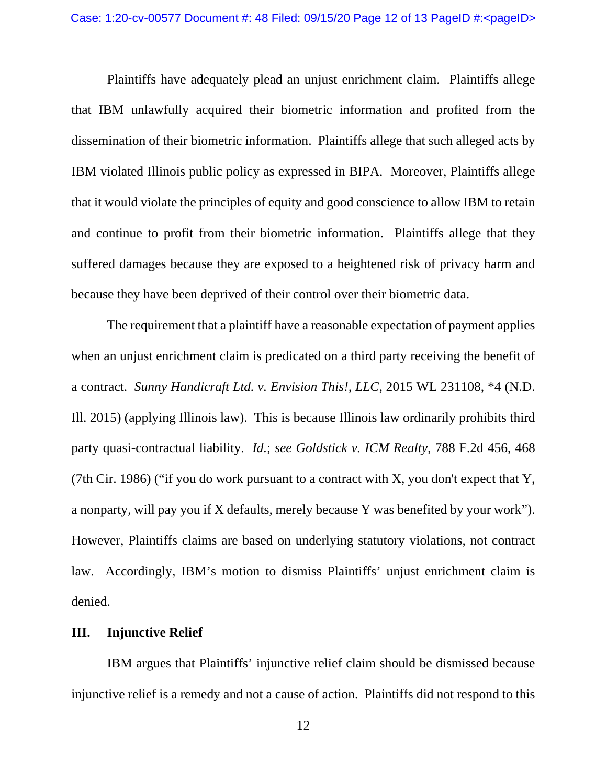Plaintiffs have adequately plead an unjust enrichment claim. Plaintiffs allege that IBM unlawfully acquired their biometric information and profited from the dissemination of their biometric information. Plaintiffs allege that such alleged acts by IBM violated Illinois public policy as expressed in BIPA. Moreover, Plaintiffs allege that it would violate the principles of equity and good conscience to allow IBM to retain and continue to profit from their biometric information. Plaintiffs allege that they suffered damages because they are exposed to a heightened risk of privacy harm and because they have been deprived of their control over their biometric data.

The requirement that a plaintiff have a reasonable expectation of payment applies when an unjust enrichment claim is predicated on a third party receiving the benefit of a contract. *Sunny Handicraft Ltd. v. Envision This!, LLC*, 2015 WL 231108, \*4 (N.D. Ill. 2015) (applying Illinois law). This is because Illinois law ordinarily prohibits third party quasi-contractual liability. *Id.*; *see Goldstick v. ICM Realty*, 788 F.2d 456, 468 (7th Cir. 1986) ("if you do work pursuant to a contract with X, you don't expect that Y, a nonparty, will pay you if X defaults, merely because Y was benefited by your work"). However, Plaintiffs claims are based on underlying statutory violations, not contract law. Accordingly, IBM's motion to dismiss Plaintiffs' unjust enrichment claim is denied.

### **III. Injunctive Relief**

IBM argues that Plaintiffs' injunctive relief claim should be dismissed because injunctive relief is a remedy and not a cause of action. Plaintiffs did not respond to this